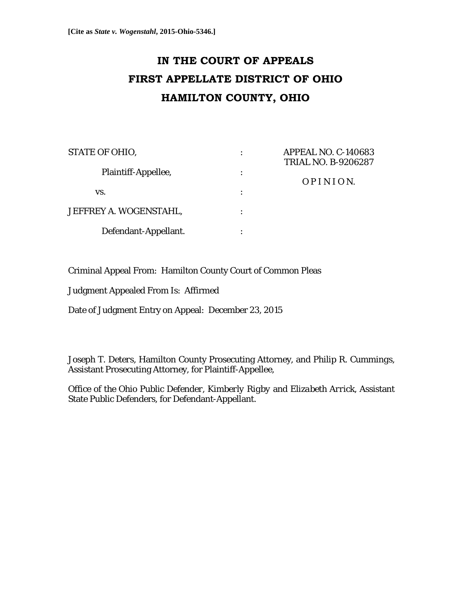# **IN THE COURT OF APPEALS FIRST APPELLATE DISTRICT OF OHIO HAMILTON COUNTY, OHIO**

| <b>STATE OF OHIO,</b>  |   | <b>APPEAL NO. C-140683</b><br><b>TRIAL NO. B-9206287</b> |
|------------------------|---|----------------------------------------------------------|
| Plaintiff-Appellee,    | ٠ | OPINION.                                                 |
| VS.                    | ٠ |                                                          |
| JEFFREY A. WOGENSTAHL, |   |                                                          |
| Defendant-Appellant.   |   |                                                          |

Criminal Appeal From: Hamilton County Court of Common Pleas

Judgment Appealed From Is: Affirmed

Date of Judgment Entry on Appeal: December 23, 2015

*Joseph T. Deters*, Hamilton County Prosecuting Attorney, and *Philip R. Cummings*, Assistant Prosecuting Attorney, for Plaintiff-Appellee,

*Office of the Ohio Public Defender, Kimberly Rigby* and *Elizabeth Arrick*, Assistant State Public Defenders, for Defendant-Appellant.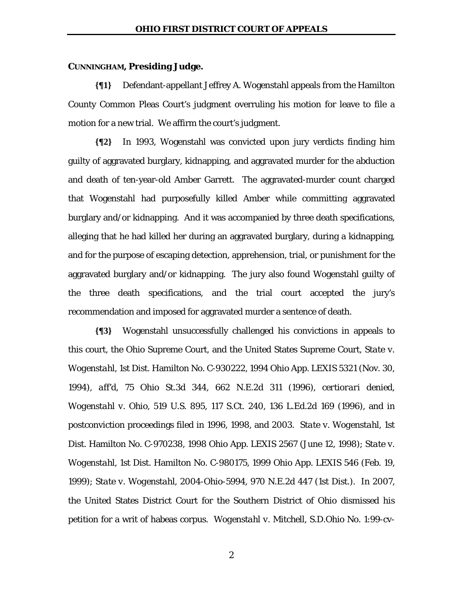#### **CUNNINGHAM, Presiding Judge.**

**{¶1}** Defendant-appellant Jeffrey A. Wogenstahl appeals from the Hamilton County Common Pleas Court's judgment overruling his motion for leave to file a motion for a new trial. We affirm the court's judgment.

**{¶2}** In 1993, Wogenstahl was convicted upon jury verdicts finding him guilty of aggravated burglary, kidnapping, and aggravated murder for the abduction and death of ten-year-old Amber Garrett. The aggravated-murder count charged that Wogenstahl had purposefully killed Amber while committing aggravated burglary and/or kidnapping. And it was accompanied by three death specifications, alleging that he had killed her during an aggravated burglary, during a kidnapping, and for the purpose of escaping detection, apprehension, trial, or punishment for the aggravated burglary and/or kidnapping. The jury also found Wogenstahl guilty of the three death specifications, and the trial court accepted the jury's recommendation and imposed for aggravated murder a sentence of death.

**{¶3}** Wogenstahl unsuccessfully challenged his convictions in appeals to this court, the Ohio Supreme Court, and the United States Supreme Court, *State v. Wogenstahl*, 1st Dist. Hamilton No. C-930222, 1994 Ohio App. LEXIS 5321 (Nov. 30, 1994), *aff'd*, 75 Ohio St.3d 344, 662 N.E.2d 311 (1996), *certiorari denied*, *Wogenstahl v. Ohio*, 519 U.S. 895, 117 S.Ct. 240, 136 L.Ed.2d 169 (1996), and in postconviction proceedings filed in 1996, 1998, and 2003. *State v. Wogenstahl*, 1st Dist. Hamilton No. C-970238, 1998 Ohio App. LEXIS 2567 (June 12, 1998); *State v. Wogenstahl*, 1st Dist. Hamilton No. C-980175, 1999 Ohio App. LEXIS 546 (Feb. 19, 1999); *State v. Wogenstahl*, 2004-Ohio-5994, 970 N.E.2d 447 (1st Dist.). In 2007, the United States District Court for the Southern District of Ohio dismissed his petition for a writ of habeas corpus. *Wogenstahl v. Mitchell*, S.D.Ohio No. 1:99-cv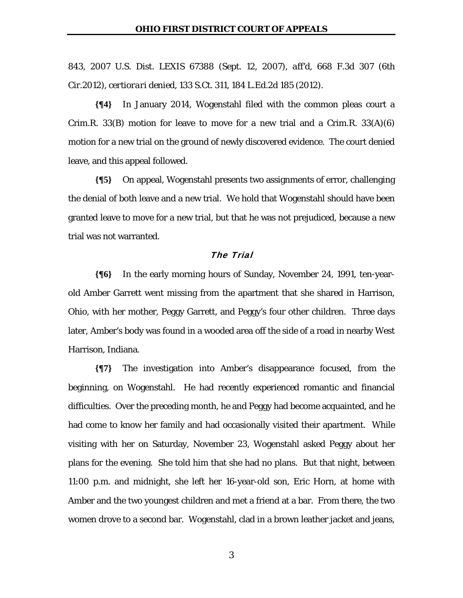843, 2007 U.S. Dist. LEXIS 67388 (Sept. 12, 2007), *aff'd*, 668 F.3d 307 (6th Cir.2012), *certiorari denied*, 133 S.Ct. 311, 184 L.Ed.2d 185 (2012).

**{¶4}** In January 2014, Wogenstahl filed with the common pleas court a Crim.R. 33 $(B)$  motion for leave to move for a new trial and a Crim.R. 33 $(A)(6)$ motion for a new trial on the ground of newly discovered evidence. The court denied leave, and this appeal followed.

**{¶5}** On appeal, Wogenstahl presents two assignments of error, challenging the denial of both leave and a new trial. We hold that Wogenstahl should have been granted leave to move for a new trial, but that he was not prejudiced, because a new trial was not warranted.

## The Trial

**{¶6}** In the early morning hours of Sunday, November 24, 1991, ten-yearold Amber Garrett went missing from the apartment that she shared in Harrison, Ohio, with her mother, Peggy Garrett, and Peggy's four other children. Three days later, Amber's body was found in a wooded area off the side of a road in nearby West Harrison, Indiana.

**{¶7}** The investigation into Amber's disappearance focused, from the beginning, on Wogenstahl. He had recently experienced romantic and financial difficulties. Over the preceding month, he and Peggy had become acquainted, and he had come to know her family and had occasionally visited their apartment. While visiting with her on Saturday, November 23, Wogenstahl asked Peggy about her plans for the evening. She told him that she had no plans. But that night, between 11:00 p.m. and midnight, she left her 16-year-old son, Eric Horn, at home with Amber and the two youngest children and met a friend at a bar. From there, the two women drove to a second bar. Wogenstahl, clad in a brown leather jacket and jeans,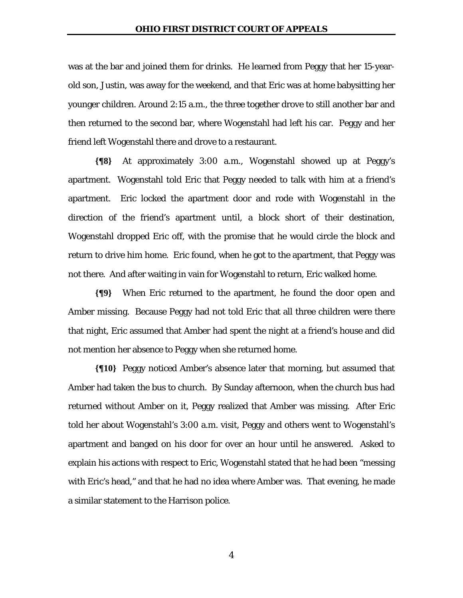was at the bar and joined them for drinks. He learned from Peggy that her 15-yearold son, Justin, was away for the weekend, and that Eric was at home babysitting her younger children. Around 2:15 a.m., the three together drove to still another bar and then returned to the second bar, where Wogenstahl had left his car. Peggy and her friend left Wogenstahl there and drove to a restaurant.

**{¶8}** At approximately 3:00 a.m., Wogenstahl showed up at Peggy's apartment. Wogenstahl told Eric that Peggy needed to talk with him at a friend's apartment. Eric locked the apartment door and rode with Wogenstahl in the direction of the friend's apartment until, a block short of their destination, Wogenstahl dropped Eric off, with the promise that he would circle the block and return to drive him home. Eric found, when he got to the apartment, that Peggy was not there. And after waiting in vain for Wogenstahl to return, Eric walked home.

**{¶9}** When Eric returned to the apartment, he found the door open and Amber missing. Because Peggy had not told Eric that all three children were there that night, Eric assumed that Amber had spent the night at a friend's house and did not mention her absence to Peggy when she returned home.

**{¶10}** Peggy noticed Amber's absence later that morning, but assumed that Amber had taken the bus to church. By Sunday afternoon, when the church bus had returned without Amber on it, Peggy realized that Amber was missing. After Eric told her about Wogenstahl's 3:00 a.m. visit, Peggy and others went to Wogenstahl's apartment and banged on his door for over an hour until he answered. Asked to explain his actions with respect to Eric, Wogenstahl stated that he had been "messing with Eric's head," and that he had no idea where Amber was. That evening, he made a similar statement to the Harrison police.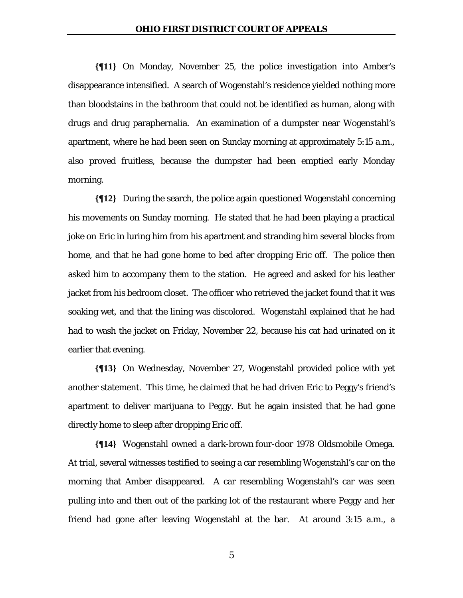**{¶11}** On Monday, November 25, the police investigation into Amber's disappearance intensified. A search of Wogenstahl's residence yielded nothing more than bloodstains in the bathroom that could not be identified as human, along with drugs and drug paraphernalia. An examination of a dumpster near Wogenstahl's apartment, where he had been seen on Sunday morning at approximately 5:15 a.m., also proved fruitless, because the dumpster had been emptied early Monday morning.

**{¶12}** During the search, the police again questioned Wogenstahl concerning his movements on Sunday morning. He stated that he had been playing a practical joke on Eric in luring him from his apartment and stranding him several blocks from home, and that he had gone home to bed after dropping Eric off. The police then asked him to accompany them to the station. He agreed and asked for his leather jacket from his bedroom closet. The officer who retrieved the jacket found that it was soaking wet, and that the lining was discolored. Wogenstahl explained that he had had to wash the jacket on Friday, November 22, because his cat had urinated on it earlier that evening.

**{¶13}** On Wednesday, November 27, Wogenstahl provided police with yet another statement. This time, he claimed that he had driven Eric to Peggy's friend's apartment to deliver marijuana to Peggy. But he again insisted that he had gone directly home to sleep after dropping Eric off.

**{¶14}** Wogenstahl owned a dark-brown four-door 1978 Oldsmobile Omega. At trial, several witnesses testified to seeing a car resembling Wogenstahl's car on the morning that Amber disappeared. A car resembling Wogenstahl's car was seen pulling into and then out of the parking lot of the restaurant where Peggy and her friend had gone after leaving Wogenstahl at the bar. At around 3:15 a.m., a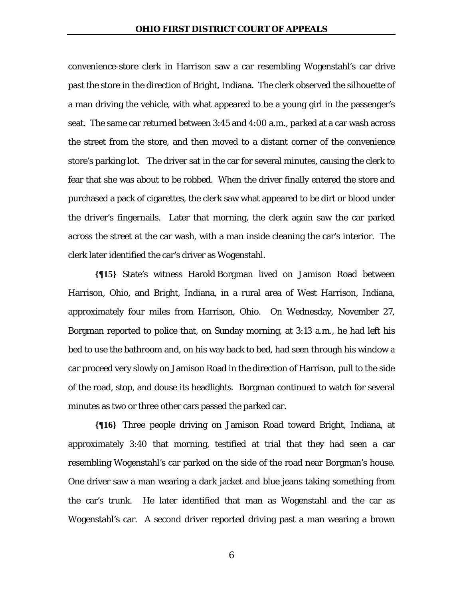convenience-store clerk in Harrison saw a car resembling Wogenstahl's car drive past the store in the direction of Bright, Indiana. The clerk observed the silhouette of a man driving the vehicle, with what appeared to be a young girl in the passenger's seat. The same car returned between 3:45 and 4:00 a.m., parked at a car wash across the street from the store, and then moved to a distant corner of the convenience store's parking lot. The driver sat in the car for several minutes, causing the clerk to fear that she was about to be robbed. When the driver finally entered the store and purchased a pack of cigarettes, the clerk saw what appeared to be dirt or blood under the driver's fingernails. Later that morning, the clerk again saw the car parked across the street at the car wash, with a man inside cleaning the car's interior. The clerk later identified the car's driver as Wogenstahl.

**{¶15}** State's witness Harold Borgman lived on Jamison Road between Harrison, Ohio, and Bright, Indiana, in a rural area of West Harrison, Indiana, approximately four miles from Harrison, Ohio. On Wednesday, November 27, Borgman reported to police that, on Sunday morning, at 3:13 a.m., he had left his bed to use the bathroom and, on his way back to bed, had seen through his window a car proceed very slowly on Jamison Road in the direction of Harrison, pull to the side of the road, stop, and douse its headlights. Borgman continued to watch for several minutes as two or three other cars passed the parked car.

**{¶16}** Three people driving on Jamison Road toward Bright, Indiana, at approximately 3:40 that morning, testified at trial that they had seen a car resembling Wogenstahl's car parked on the side of the road near Borgman's house. One driver saw a man wearing a dark jacket and blue jeans taking something from the car's trunk. He later identified that man as Wogenstahl and the car as Wogenstahl's car. A second driver reported driving past a man wearing a brown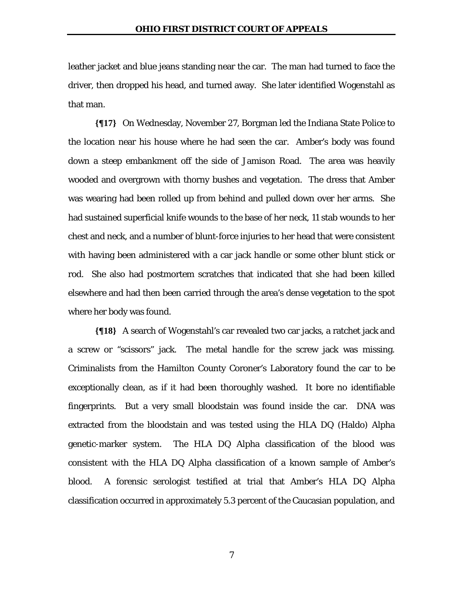leather jacket and blue jeans standing near the car. The man had turned to face the driver, then dropped his head, and turned away. She later identified Wogenstahl as that man.

**{¶17}** On Wednesday, November 27, Borgman led the Indiana State Police to the location near his house where he had seen the car. Amber's body was found down a steep embankment off the side of Jamison Road. The area was heavily wooded and overgrown with thorny bushes and vegetation. The dress that Amber was wearing had been rolled up from behind and pulled down over her arms. She had sustained superficial knife wounds to the base of her neck, 11 stab wounds to her chest and neck, and a number of blunt-force injuries to her head that were consistent with having been administered with a car jack handle or some other blunt stick or rod. She also had postmortem scratches that indicated that she had been killed elsewhere and had then been carried through the area's dense vegetation to the spot where her body was found.

**{¶18}** A search of Wogenstahl's car revealed two car jacks, a ratchet jack and a screw or "scissors" jack. The metal handle for the screw jack was missing. Criminalists from the Hamilton County Coroner's Laboratory found the car to be exceptionally clean, as if it had been thoroughly washed. It bore no identifiable fingerprints. But a very small bloodstain was found inside the car. DNA was extracted from the bloodstain and was tested using the HLA DQ (Haldo) Alpha genetic-marker system. The HLA DQ Alpha classification of the blood was consistent with the HLA DQ Alpha classification of a known sample of Amber's blood. A forensic serologist testified at trial that Amber's HLA DQ Alpha classification occurred in approximately 5.3 percent of the Caucasian population, and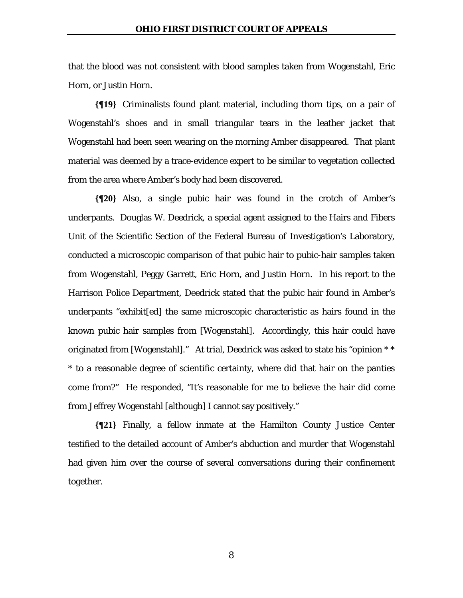that the blood was not consistent with blood samples taken from Wogenstahl, Eric Horn, or Justin Horn.

**{¶19}** Criminalists found plant material, including thorn tips, on a pair of Wogenstahl's shoes and in small triangular tears in the leather jacket that Wogenstahl had been seen wearing on the morning Amber disappeared. That plant material was deemed by a trace-evidence expert to be similar to vegetation collected from the area where Amber's body had been discovered.

**{¶20}** Also, a single pubic hair was found in the crotch of Amber's underpants. Douglas W. Deedrick, a special agent assigned to the Hairs and Fibers Unit of the Scientific Section of the Federal Bureau of Investigation's Laboratory, conducted a microscopic comparison of that pubic hair to pubic-hair samples taken from Wogenstahl, Peggy Garrett, Eric Horn, and Justin Horn. In his report to the Harrison Police Department, Deedrick stated that the pubic hair found in Amber's underpants "exhibit[ed] the same microscopic characteristic as hairs found in the known pubic hair samples from [Wogenstahl]. Accordingly, this hair could have originated from [Wogenstahl]." At trial, Deedrick was asked to state his "opinion \* \* \* to a reasonable degree of scientific certainty, where did that hair on the panties come from?" He responded, "It's reasonable for me to believe the hair did come from Jeffrey Wogenstahl [although] I cannot say positively."

**{¶21}** Finally, a fellow inmate at the Hamilton County Justice Center testified to the detailed account of Amber's abduction and murder that Wogenstahl had given him over the course of several conversations during their confinement together.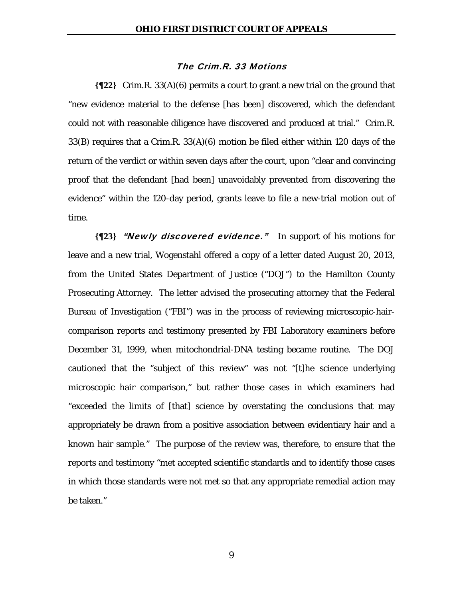## The Crim.R. 33 Motions

**{¶22}** Crim.R. 33(A)(6) permits a court to grant a new trial on the ground that "new evidence material to the defense [has been] discovered, which the defendant could not with reasonable diligence have discovered and produced at trial." Crim.R. 33(B) requires that a Crim.R. 33(A)(6) motion be filed either within 120 days of the return of the verdict or within seven days after the court, upon "clear and convincing proof that the defendant [had been] unavoidably prevented from discovering the evidence" within the 120-day period, grants leave to file a new-trial motion out of time.

**{¶23}** "Newly discovered evidence." In support of his motions for leave and a new trial, Wogenstahl offered a copy of a letter dated August 20, 2013, from the United States Department of Justice ("DOJ") to the Hamilton County Prosecuting Attorney. The letter advised the prosecuting attorney that the Federal Bureau of Investigation ("FBI") was in the process of reviewing microscopic-haircomparison reports and testimony presented by FBI Laboratory examiners before December 31, 1999, when mitochondrial-DNA testing became routine. The DOJ cautioned that the "subject of this review" was not "[t]he science underlying microscopic hair comparison," but rather those cases in which examiners had "exceeded the limits of [that] science by overstating the conclusions that may appropriately be drawn from a positive association between evidentiary hair and a known hair sample." The purpose of the review was, therefore, to ensure that the reports and testimony "met accepted scientific standards and to identify those cases in which those standards were not met so that any appropriate remedial action may be taken."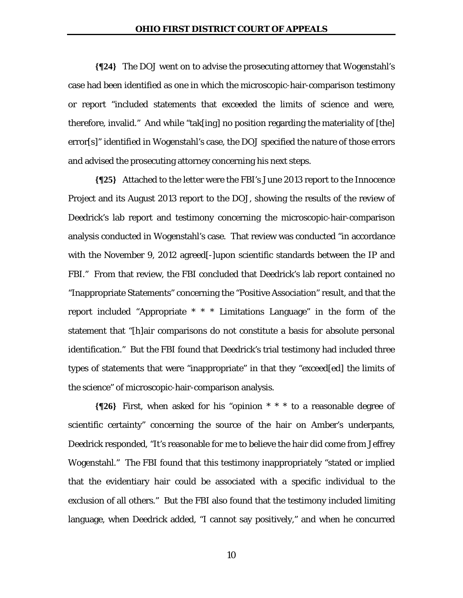**{¶24}** The DOJ went on to advise the prosecuting attorney that Wogenstahl's case had been identified as one in which the microscopic-hair-comparison testimony or report "included statements that exceeded the limits of science and were, therefore, invalid." And while "tak[ing] no position regarding the materiality of [the] error[s]" identified in Wogenstahl's case, the DOJ specified the nature of those errors and advised the prosecuting attorney concerning his next steps.

**{¶25}** Attached to the letter were the FBI's June 2013 report to the Innocence Project and its August 2013 report to the DOJ, showing the results of the review of Deedrick's lab report and testimony concerning the microscopic-hair-comparison analysis conducted in Wogenstahl's case. That review was conducted "in accordance with the November 9, 2012 agreed[-]upon scientific standards between the IP and FBI." From that review, the FBI concluded that Deedrick's lab report contained no "Inappropriate Statements" concerning the "Positive Association" result, and that the report included "Appropriate \* \* \* Limitations Language" in the form of the statement that "[h]air comparisons do not constitute a basis for absolute personal identification." But the FBI found that Deedrick's trial testimony had included three types of statements that were "inappropriate" in that they "exceed[ed] the limits of the science" of microscopic-hair-comparison analysis.

**{¶26}** First, when asked for his "opinion \* \* \* to a reasonable degree of scientific certainty" concerning the source of the hair on Amber's underpants, Deedrick responded, "It's reasonable for me to believe the hair did come from Jeffrey Wogenstahl." The FBI found that this testimony inappropriately "stated or implied that the evidentiary hair could be associated with a specific individual to the exclusion of all others." But the FBI also found that the testimony included limiting language, when Deedrick added, "I cannot say positively," and when he concurred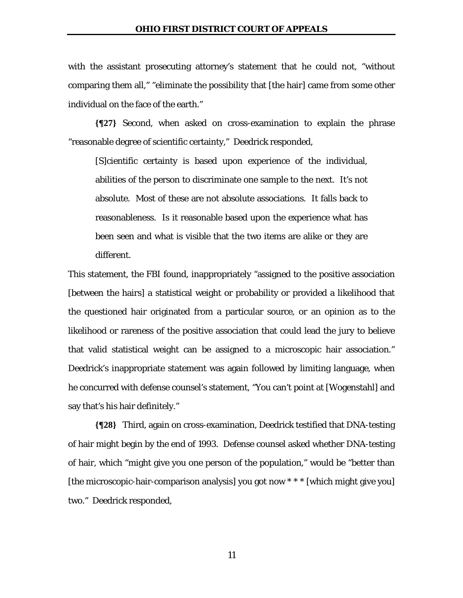with the assistant prosecuting attorney's statement that he could not, "without comparing them all," "eliminate the possibility that [the hair] came from some other individual on the face of the earth."

**{¶27}** Second, when asked on cross-examination to explain the phrase "reasonable degree of scientific certainty," Deedrick responded,

[S]cientific certainty is based upon experience of the individual, abilities of the person to discriminate one sample to the next. It's not absolute. Most of these are not absolute associations. It falls back to reasonableness. Is it reasonable based upon the experience what has been seen and what is visible that the two items are alike or they are different.

This statement, the FBI found, inappropriately "assigned to the positive association [between the hairs] a statistical weight or probability or provided a likelihood that the questioned hair originated from a particular source, or an opinion as to the likelihood or rareness of the positive association that could lead the jury to believe that valid statistical weight can be assigned to a microscopic hair association." Deedrick's inappropriate statement was again followed by limiting language, when he concurred with defense counsel's statement, "You can't point at [Wogenstahl] and say that's his hair definitely."

**{¶28}** Third, again on cross-examination, Deedrick testified that DNA-testing of hair might begin by the end of 1993. Defense counsel asked whether DNA-testing of hair, which "might give you one person of the population," would be "better than [the microscopic-hair-comparison analysis] you got now \* \* \* [which might give you] two." Deedrick responded,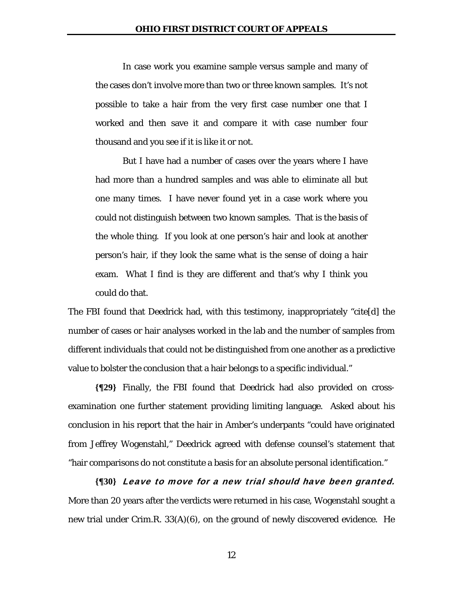In case work you examine sample versus sample and many of the cases don't involve more than two or three known samples. It's not possible to take a hair from the very first case number one that I worked and then save it and compare it with case number four thousand and you see if it is like it or not.

 But I have had a number of cases over the years where I have had more than a hundred samples and was able to eliminate all but one many times. I have never found yet in a case work where you could not distinguish between two known samples. That is the basis of the whole thing. If you look at one person's hair and look at another person's hair, if they look the same what is the sense of doing a hair exam. What I find is they are different and that's why I think you could do that.

The FBI found that Deedrick had, with this testimony, inappropriately "cite[d] the number of cases or hair analyses worked in the lab and the number of samples from different individuals that could not be distinguished from one another as a predictive value to bolster the conclusion that a hair belongs to a specific individual."

**{¶29}** Finally, the FBI found that Deedrick had also provided on crossexamination one further statement providing limiting language. Asked about his conclusion in his report that the hair in Amber's underpants "could have originated from Jeffrey Wogenstahl," Deedrick agreed with defense counsel's statement that "hair comparisons do not constitute a basis for an absolute personal identification."

**{¶30}** Leave to move for a new trial should have been granted. More than 20 years after the verdicts were returned in his case, Wogenstahl sought a new trial under Crim.R. 33(A)(6), on the ground of newly discovered evidence. He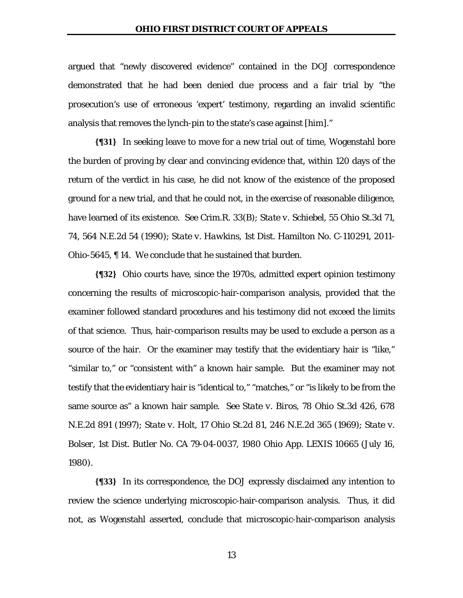argued that "newly discovered evidence" contained in the DOJ correspondence demonstrated that he had been denied due process and a fair trial by "the prosecution's use of erroneous 'expert' testimony, regarding an invalid scientific analysis that removes the lynch-pin to the state's case against [him]."

**{¶31}** In seeking leave to move for a new trial out of time, Wogenstahl bore the burden of proving by clear and convincing evidence that, within 120 days of the return of the verdict in his case, he did not know of the existence of the proposed ground for a new trial, and that he could not, in the exercise of reasonable diligence, have learned of its existence. *See* Crim.R. 33(B); *State v. Schiebel*, 55 Ohio St.3d 71, 74, 564 N.E.2d 54 (1990); *State v. Hawkins*, 1st Dist. Hamilton No. C-110291, 2011- Ohio-5645, ¶ 14. We conclude that he sustained that burden.

**{¶32}** Ohio courts have, since the 1970s, admitted expert opinion testimony concerning the results of microscopic-hair-comparison analysis, provided that the examiner followed standard procedures and his testimony did not exceed the limits of that science. Thus, hair-comparison results may be used to exclude a person as a source of the hair. Or the examiner may testify that the evidentiary hair is "like," "similar to," or "consistent with" a known hair sample. But the examiner may not testify that the evidentiary hair is "identical to," "matches," or "is likely to be from the same source as" a known hair sample. *See State v. Biros*, 78 Ohio St.3d 426, 678 N.E.2d 891 (1997); *State v. Holt*, 17 Ohio St.2d 81, 246 N.E.2d 365 (1969); *State v. Bolser*, 1st Dist. Butler No. CA 79-04-0037, 1980 Ohio App. LEXIS 10665 (July 16, 1980).

**{¶33}** In its correspondence, the DOJ expressly disclaimed any intention to review the science underlying microscopic-hair-comparison analysis. Thus, it did not, as Wogenstahl asserted, conclude that microscopic-hair-comparison analysis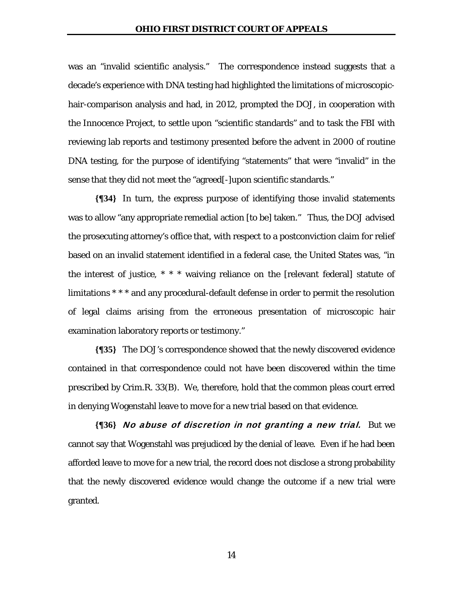was an "invalid scientific analysis." The correspondence instead suggests that a decade's experience with DNA testing had highlighted the limitations of microscopichair-comparison analysis and had, in 2012, prompted the DOJ, in cooperation with the Innocence Project, to settle upon "scientific standards" and to task the FBI with reviewing lab reports and testimony presented before the advent in 2000 of routine DNA testing, for the purpose of identifying "statements" that were "invalid" in the sense that they did not meet the "agreed[-]upon scientific standards."

**{¶34}** In turn, the express purpose of identifying those invalid statements was to allow "any appropriate remedial action [to be] taken." Thus, the DOJ advised the prosecuting attorney's office that, with respect to a postconviction claim for relief based on an invalid statement identified in a federal case, the United States was, "in the interest of justice, \* \* \* waiving reliance on the [relevant federal] statute of limitations \* \* \* and any procedural-default defense in order to permit the resolution of legal claims arising from the erroneous presentation of microscopic hair examination laboratory reports or testimony."

**{¶35}** The DOJ's correspondence showed that the newly discovered evidence contained in that correspondence could not have been discovered within the time prescribed by Crim.R. 33(B). We, therefore, hold that the common pleas court erred in denying Wogenstahl leave to move for a new trial based on that evidence.

**{¶36}** No abuse of discretion in not granting a new trial. But we cannot say that Wogenstahl was prejudiced by the denial of leave. Even if he had been afforded leave to move for a new trial, the record does not disclose a strong probability that the newly discovered evidence would change the outcome if a new trial were granted.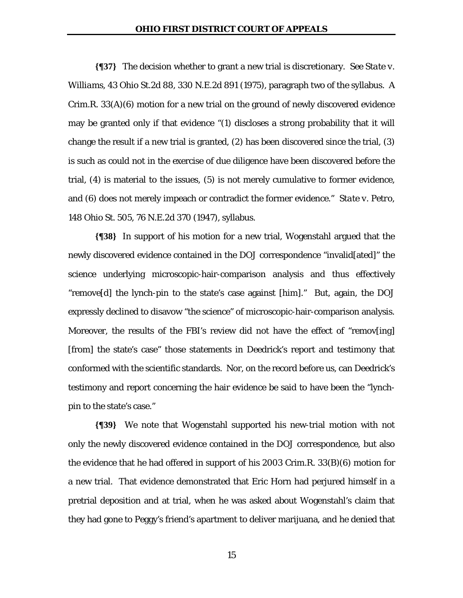**{¶37}** The decision whether to grant a new trial is discretionary. *See State v. Williams*, 43 Ohio St.2d 88, 330 N.E.2d 891 (1975), paragraph two of the syllabus. A Crim.R. 33(A)(6) motion for a new trial on the ground of newly discovered evidence may be granted only if that evidence "(1) discloses a strong probability that it will change the result if a new trial is granted, (2) has been discovered since the trial, (3) is such as could not in the exercise of due diligence have been discovered before the trial, (4) is material to the issues, (5) is not merely cumulative to former evidence, and (6) does not merely impeach or contradict the former evidence." *State v. Petro*, 148 Ohio St. 505, 76 N.E.2d 370 (1947), syllabus.

**{¶38}** In support of his motion for a new trial, Wogenstahl argued that the newly discovered evidence contained in the DOJ correspondence "invalid[ated]" the science underlying microscopic-hair-comparison analysis and thus effectively "remove[d] the lynch-pin to the state's case against [him]." But, again, the DOJ expressly declined to disavow "the science" of microscopic-hair-comparison analysis. Moreover, the results of the FBI's review did not have the effect of "remov[ing] [from] the state's case" those statements in Deedrick's report and testimony that conformed with the scientific standards. Nor, on the record before us, can Deedrick's testimony and report concerning the hair evidence be said to have been the "lynchpin to the state's case."

**{¶39}** We note that Wogenstahl supported his new-trial motion with not only the newly discovered evidence contained in the DOJ correspondence, but also the evidence that he had offered in support of his 2003 Crim.R. 33(B)(6) motion for a new trial. That evidence demonstrated that Eric Horn had perjured himself in a pretrial deposition and at trial, when he was asked about Wogenstahl's claim that they had gone to Peggy's friend's apartment to deliver marijuana, and he denied that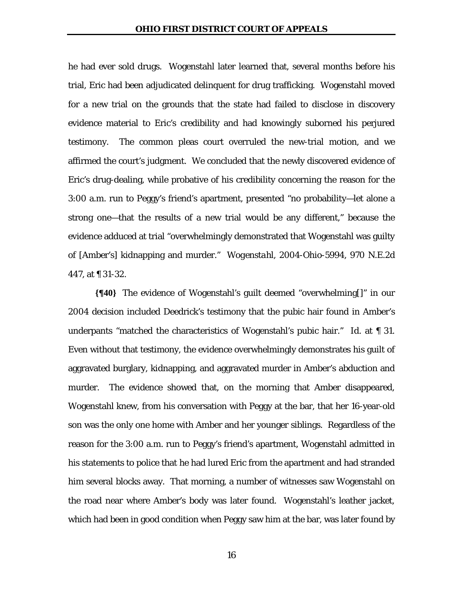he had ever sold drugs. Wogenstahl later learned that, several months before his trial, Eric had been adjudicated delinquent for drug trafficking. Wogenstahl moved for a new trial on the grounds that the state had failed to disclose in discovery evidence material to Eric's credibility and had knowingly suborned his perjured testimony. The common pleas court overruled the new-trial motion, and we affirmed the court's judgment. We concluded that the newly discovered evidence of Eric's drug-dealing, while probative of his credibility concerning the reason for the 3:00 a.m. run to Peggy's friend's apartment, presented "no probability—let alone a strong one—that the results of a new trial would be any different," because the evidence adduced at trial "overwhelmingly demonstrated that Wogenstahl was guilty of [Amber's] kidnapping and murder." *Wogenstahl*, 2004-Ohio-5994, 970 N.E.2d 447, at ¶ 31-32.

**{¶40}** The evidence of Wogenstahl's guilt deemed "overwhelming[]" in our 2004 decision included Deedrick's testimony that the pubic hair found in Amber's underpants "matched the characteristics of Wogenstahl's pubic hair." *Id.* at ¶ 31. Even without that testimony, the evidence overwhelmingly demonstrates his guilt of aggravated burglary, kidnapping, and aggravated murder in Amber's abduction and murder. The evidence showed that, on the morning that Amber disappeared, Wogenstahl knew, from his conversation with Peggy at the bar, that her 16-year-old son was the only one home with Amber and her younger siblings. Regardless of the reason for the 3:00 a.m. run to Peggy's friend's apartment, Wogenstahl admitted in his statements to police that he had lured Eric from the apartment and had stranded him several blocks away. That morning, a number of witnesses saw Wogenstahl on the road near where Amber's body was later found. Wogenstahl's leather jacket, which had been in good condition when Peggy saw him at the bar, was later found by